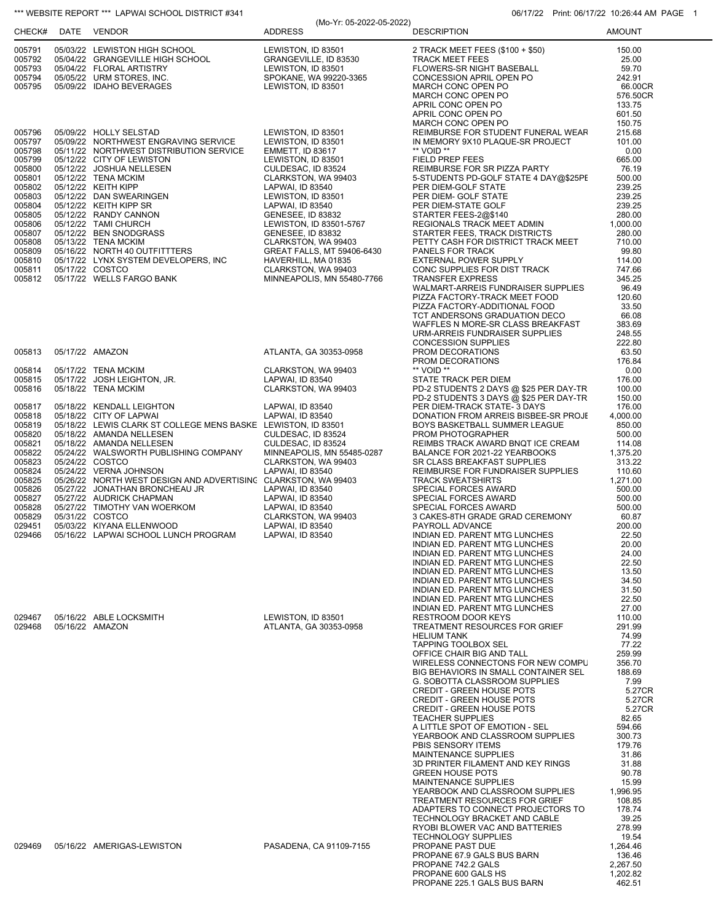|                  | "" WEBSITE REPORT "" LAPWAI SCHOOL DISTRICT #341                     | (Mo-Yr: 05-2022-05-2022)                         | 06/17/22 Print: 06/17/22 10:26:44 AM PAG                                  |                    |
|------------------|----------------------------------------------------------------------|--------------------------------------------------|---------------------------------------------------------------------------|--------------------|
|                  | CHECK# DATE VENDOR                                                   | <b>ADDRESS</b>                                   | <b>DESCRIPTION</b>                                                        | <b>AMOUNT</b>      |
| 005791           | 05/03/22 LEWISTON HIGH SCHOOL                                        | LEWISTON, ID 83501                               | 2 TRACK MEET FEES (\$100 + \$50)                                          | 150.00             |
| 005792           | 05/04/22 GRANGEVILLE HIGH SCHOOL                                     | GRANGEVILLE, ID 83530                            | TRACK MEET FEES<br>FLOWERS-SR NIGHT BASEBALL                              | 25.00              |
| 005793           | 05/04/22 FLORAL ARTISTRY                                             | LEWISTON, ID 83501                               |                                                                           | 59.70              |
| 005794<br>005795 | 05/05/22 URM STORES, INC.<br>05/09/22 IDAHO BEVERAGES                | SPOKANE, WA 99220-3365<br>LEWISTON, ID 83501     |                                                                           | 242.91<br>66.00CR  |
|                  |                                                                      |                                                  | CONCESSION APRIL OPEN PO<br>MARCH CONC OPEN PO<br>MARCH CONC OPEN PO      | 576.50CR           |
|                  |                                                                      |                                                  | APRIL CONC OPEN PO                                                        | 133.75             |
|                  |                                                                      |                                                  | APRIL CONC OPEN PO                                                        | 601.50             |
|                  |                                                                      |                                                  | MARCH CONC OPEN PO                                                        | 150.75             |
| 005796           | 05/09/22 HOLLY SELSTAD                                               | LEWISTON, ID 83501                               | REIMBURSE FOR STUDENT FUNERAL WEAF                                        | 215.68             |
| 005797           | 05/09/22 NORTHWEST ENGRAVING SERVICE                                 | LEWISTON, ID 83501                               | IN MEMORY 9X10 PLAQUE-SR PROJECT                                          | 101.00             |
| 005798<br>005799 | 05/11/22 NORTHWEST DISTRIBUTION SERVICE<br>05/12/22 CITY OF LEWISTON | <b>EMMETT, ID 83617</b><br>LEWISTON, ID 83501    | ** VOID **<br><b>FIELD PREP FEES</b>                                      | 0.00<br>665.00     |
| 005800           | 05/12/22 JOSHUA NELLESEN                                             | CULDESAC, ID 83524                               | REIMBURSE FOR SR PIZZA PARTY                                              | 76.19              |
| 005801           | 05/12/22 TENA MCKIM                                                  | CLARKSTON, WA 99403                              | 5-STUDENTS PD-GOLF STATE 4 DAY@\$25PE                                     | 500.00             |
| 005802           | 05/12/22 KEITH KIPP                                                  | LAPWAI, ID 83540                                 | PER DIEM-GOLF STATE                                                       | 239.25             |
| 005803           | 05/12/22 DAN SWEARINGEN                                              | LEWISTON, ID 83501                               | PER DIEM- GOLF STATE                                                      | 239.25             |
| 005804           | 05/12/22 KEITH KIPP SR                                               | LAPWAI, ID 83540                                 | PER DIEM-STATE GOLF                                                       | 239.25             |
| 005805<br>005806 | 05/12/22 RANDY CANNON<br>05/12/22 TAMI CHURCH                        | GENESEE, ID 83832<br>LEWISTON, ID 83501-5767     | STARTER FEES-2@\$140                                                      | 280.00<br>1,000.00 |
| 005807           | 05/12/22 BEN SNODGRASS                                               | <b>GENESEE, ID 83832</b>                         | REGIONALS TRACK MEET ADMIN<br>STARTER FEES, TRACK DISTRICTS               | 280.00             |
| 005808           | 05/13/22 TENA MCKIM                                                  | CLARKSTON, WA 99403                              | PETTY CASH FOR DISTRICT TRACK MEET                                        | 710.00             |
| 005809           | 05/16/22 NORTH 40 OUTFITTTERS                                        | GREAT FALLS, MT 59406-6430                       | PANELS FOR TRACK                                                          | 99.80              |
| 005810           | 05/17/22 LYNX SYSTEM DEVELOPERS, INC                                 | HAVERHILL, MA 01835                              | EXTERNAL POWER SUPPLY                                                     | 114.00             |
| 005811           | 05/17/22 COSTCO                                                      | CLARKSTON, WA 99403                              | CONC SUPPLIES FOR DIST TRACK                                              | 747.66             |
| 005812           | 05/17/22 WELLS FARGO BANK                                            | MINNEAPOLIS, MN 55480-7766                       | <b>TRANSFER EXPRESS</b>                                                   | 345.25             |
|                  |                                                                      |                                                  | WALMART-ARREIS FUNDRAISER SUPPLIES                                        | 96.49              |
|                  |                                                                      |                                                  | PIZZA FACTORY-TRACK MEET FOOD<br>PIZZA FACTORY-ADDITIONAL FOOD            | 120.60<br>33.50    |
|                  |                                                                      |                                                  | TCT ANDERSONS GRADUATION DECO                                             | 66.08              |
|                  |                                                                      |                                                  | WAFFLES N MORE-SR CLASS BREAKFAST                                         | 383.69             |
|                  |                                                                      |                                                  | URM-ARREIS FUNDRAISER SUPPLIES                                            | 248.55             |
|                  |                                                                      |                                                  | <b>CONCESSION SUPPLIES</b>                                                | 222.80             |
| 005813           | 05/17/22 AMAZON                                                      | ATLANTA, GA 30353-0958                           | PROM DECORATIONS                                                          | 63.50              |
|                  |                                                                      |                                                  | PROM DECORATIONS                                                          | 176.84             |
| 005814<br>005815 | 05/17/22 TENA MCKIM<br>05/17/22 JOSH LEIGHTON, JR.                   | CLARKSTON, WA 99403<br>LAPWAI, ID 83540          | ** VOID **<br>STATE TRACK PER DIEM                                        | 0.00<br>176.00     |
| 005816           | 05/18/22 TENA MCKIM                                                  | CLARKSTON, WA 99403                              | PD-2 STUDENTS 2 DAYS @ \$25 PER DAY-TR                                    | 100.00             |
|                  |                                                                      |                                                  | PD-2 STUDENTS 3 DAYS @ \$25 PER DAY-TR                                    | 150.00             |
| 005817           | 05/18/22 KENDALL LEIGHTON                                            | LAPWAI, ID 83540                                 | PER DIEM-TRACK STATE- 3 DAYS                                              | 176.00             |
| 005818           | 05/18/22 CITY OF LAPWAI                                              | LAPWAI, ID 83540                                 | DONATION FROM ARREIS BISBEE-SR PROJE                                      | 4,000.00           |
| 005819           | 05/18/22 LEWIS CLARK ST COLLEGE MENS BASKE LEWISTON, ID 83501        |                                                  | BOYS BASKETBALL SUMMER LEAGUE                                             | 850.00             |
| 005820           | 05/18/22 AMANDA NELLESEN                                             | CULDESAC, ID 83524                               | PROM PHOTOGRAPHER                                                         | 500.00             |
| 005821<br>005822 | 05/18/22 AMANDA NELLESEN<br>05/24/22 WALSWORTH PUBLISHING COMPANY    | CULDESAC, ID 83524<br>MINNEAPOLIS, MN 55485-0287 | REIMBS TRACK AWARD BNQT ICE CREAM<br>BALANCE FOR 2021-22 YEARBOOKS        | 114.08<br>1,375.20 |
| 005823           | 05/24/22 COSTCO                                                      | CLARKSTON, WA 99403                              | SR CLASS BREAKFAST SUPPLIES                                               | 313.22             |
| 005824           | 05/24/22 VERNA JOHNSON                                               | LAPWAI, ID 83540                                 | REIMBURSE FOR FUNDRAISER SUPPLIES                                         | 110.60             |
| 005825           | 05/26/22 NORTH WEST DESIGN AND ADVERTISING CLARKSTON, WA 99403       |                                                  | <b>TRACK SWEATSHIRTS</b>                                                  | 1,271.00           |
| 005826           | 05/27/22 JONATHAN BRONCHEAU JR                                       | LAPWAI, ID 83540                                 | SPECIAL FORCES AWARD                                                      | 500.00             |
| 005827           | 05/27/22 AUDRICK CHAPMAN                                             | LAPWAI, ID 83540                                 | SPECIAL FORCES AWARD                                                      | 500.00             |
| 005828           | 05/27/22 TIMOTHY VAN WOERKOM                                         | LAPWAI, ID 83540                                 | SPECIAL FORCES AWARD                                                      | 500.00             |
| 005829<br>029451 | 05/31/22 COSTCO<br>05/03/22 KIYANA ELLENWOOD                         | CLARKSTON, WA 99403<br>LAPWAI, ID 83540          | 3 CAKES-8TH GRADE GRAD CEREMONY<br>PAYROLL ADVANCE                        | 60.87<br>200.00    |
| 029466           | 05/16/22 LAPWAI SCHOOL LUNCH PROGRAM                                 | LAPWAI, ID 83540                                 | INDIAN ED. PARENT MTG LUNCHES                                             | 22.50              |
|                  |                                                                      |                                                  | INDIAN ED. PARENT MTG LUNCHES                                             | 20.00              |
|                  |                                                                      |                                                  | INDIAN ED. PARENT MTG LUNCHES                                             | 24.00              |
|                  |                                                                      |                                                  | INDIAN ED. PARENT MTG LUNCHES                                             | 22.50              |
|                  |                                                                      |                                                  | INDIAN ED. PARENT MTG LUNCHES                                             | 13.50              |
|                  |                                                                      |                                                  | INDIAN ED. PARENT MTG LUNCHES                                             | 34.50              |
|                  |                                                                      |                                                  | INDIAN ED. PARENT MTG LUNCHES<br>INDIAN ED. PARENT MTG LUNCHES            | 31.50<br>22.50     |
|                  |                                                                      |                                                  | INDIAN ED. PARENT MTG LUNCHES                                             | 27.00              |
| 029467           | 05/16/22 ABLE LOCKSMITH                                              | LEWISTON, ID 83501                               | <b>RESTROOM DOOR KEYS</b>                                                 | 110.00             |
| 029468           | 05/16/22 AMAZON                                                      | ATLANTA, GA 30353-0958                           | TREATMENT RESOURCES FOR GRIEF                                             | 291.99             |
|                  |                                                                      |                                                  | <b>HELIUM TANK</b>                                                        | 74.99              |
|                  |                                                                      |                                                  | <b>TAPPING TOOLBOX SEL</b>                                                | 77.22              |
|                  |                                                                      |                                                  | OFFICE CHAIR BIG AND TALL                                                 | 259.99             |
|                  |                                                                      |                                                  | WIRELESS CONNECTONS FOR NEW COMPL<br>BIG BEHAVIORS IN SMALL CONTAINER SEL | 356.70<br>188.69   |
|                  |                                                                      |                                                  | G. SOBOTTA CLASSROOM SUPPLIES                                             | 7.99               |
|                  |                                                                      |                                                  | <b>CREDIT - GREEN HOUSE POTS</b>                                          | 5.27CR             |
|                  |                                                                      |                                                  | <b>CREDIT - GREEN HOUSE POTS</b>                                          | 5.27CR             |
|                  |                                                                      |                                                  | <b>CREDIT - GREEN HOUSE POTS</b>                                          | 5.27CR             |
|                  |                                                                      |                                                  | <b>TEACHER SUPPLIES</b>                                                   | 82.65              |
|                  |                                                                      |                                                  | A LITTLE SPOT OF EMOTION - SEL                                            | 594.66             |
|                  |                                                                      |                                                  | YEARBOOK AND CLASSROOM SUPPLIES                                           | 300.73             |
|                  |                                                                      |                                                  | PBIS SENSORY ITEMS<br><b>MAINTENANCE SUPPLIES</b>                         | 179.76<br>31.86    |
|                  |                                                                      |                                                  | 3D PRINTER FILAMENT AND KEY RINGS                                         | 31.88              |
|                  |                                                                      |                                                  | <b>GREEN HOUSE POTS</b>                                                   | 90.78              |
|                  |                                                                      |                                                  | <b>MAINTENANCE SUPPLIES</b>                                               | 15.99              |
|                  |                                                                      |                                                  | YEARBOOK AND CLASSROOM SUPPLIES                                           | 1,996.95           |
|                  |                                                                      |                                                  | TREATMENT RESOURCES FOR GRIEF                                             | 108.85             |
|                  |                                                                      |                                                  | ADAPTERS TO CONNECT PROJECTORS TO                                         | 178.74             |
|                  |                                                                      |                                                  | TECHNOLOGY BRACKET AND CABLE<br>RYOBI BLOWER VAC AND BATTERIES            | 39.25<br>278.99    |
|                  |                                                                      |                                                  | <b>TECHNOLOGY SUPPLIES</b>                                                | 19.54              |
| 029469           | 05/16/22 AMERIGAS-LEWISTON                                           | PASADENA, CA 91109-7155                          | PROPANE PAST DUE                                                          | 1,264.46           |
|                  |                                                                      |                                                  | PROPANE 67.9 GALS BUS BARN                                                | 136.46             |
|                  |                                                                      |                                                  | PROPANE 742.2 GALS                                                        | 2,267.50           |
|                  |                                                                      |                                                  | PROPANE 600 GALS HS                                                       | 1,202.82           |
|                  |                                                                      |                                                  | PROPANE 225.1 GALS BUS BARN                                               | 462.51             |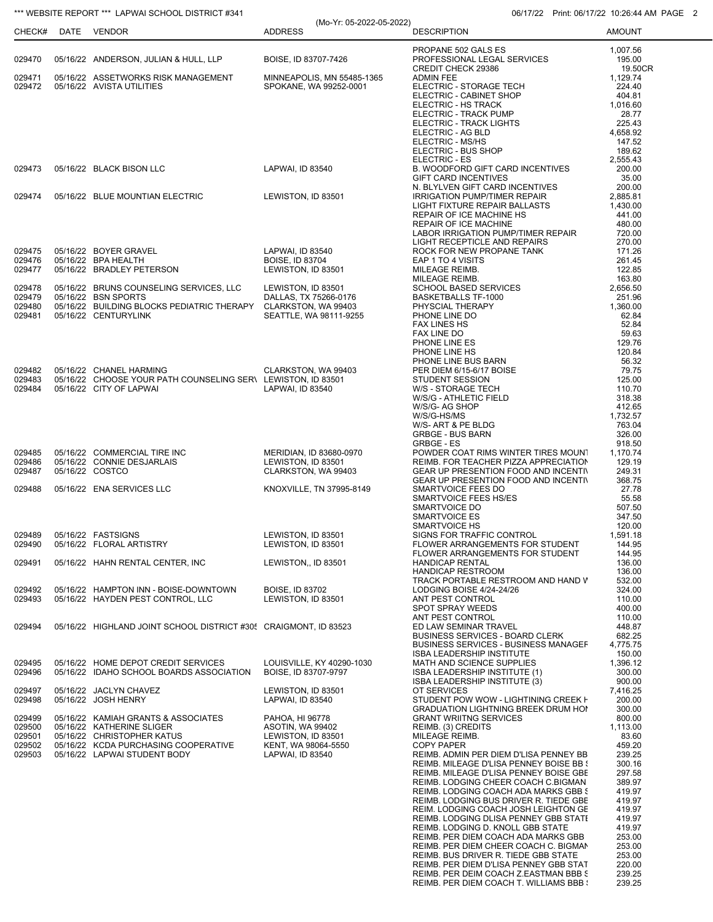| CHECK#           | DATE | VENDOR                                                                                  | <b>ADDRESS</b>                            | <b>DESCRIPTION</b>                                                               | <b>AMOUNT</b>      |
|------------------|------|-----------------------------------------------------------------------------------------|-------------------------------------------|----------------------------------------------------------------------------------|--------------------|
|                  |      |                                                                                         |                                           | PROPANE 502 GALS ES                                                              | 1,007.56           |
| 029470           |      | 05/16/22 ANDERSON, JULIAN & HULL, LLP                                                   | BOISE, ID 83707-7426                      | PROFESSIONAL LEGAL SERVICES<br>CREDIT CHECK 29386                                | 195.00<br>19.50CR  |
| 029471           |      | 05/16/22 ASSETWORKS RISK MANAGEMENT                                                     | MINNEAPOLIS, MN 55485-1365                | <b>ADMIN FEE</b>                                                                 | 1,129.74           |
| 029472           |      | 05/16/22 AVISTA UTILITIES                                                               | SPOKANE, WA 99252-0001                    | ELECTRIC - STORAGE TECH<br>ELECTRIC - CABINET SHOP                               | 224.40<br>404.81   |
|                  |      |                                                                                         |                                           | ELECTRIC - HS TRACK                                                              | 1,016.60           |
|                  |      |                                                                                         |                                           | ELECTRIC - TRACK PUMP                                                            | 28.77              |
|                  |      |                                                                                         |                                           | ELECTRIC - TRACK LIGHTS<br>ELECTRIC - AG BLD                                     | 225.43<br>4,658.92 |
|                  |      |                                                                                         |                                           | ELECTRIC - MS/HS                                                                 | 147.52             |
|                  |      |                                                                                         |                                           | ELECTRIC - BUS SHOP<br>ELECTRIC - ES                                             | 189.62<br>2,555.43 |
| 029473           |      | 05/16/22 BLACK BISON LLC                                                                | LAPWAI, ID 83540                          | B. WOODFORD GIFT CARD INCENTIVES                                                 | 200.00             |
|                  |      |                                                                                         |                                           | <b>GIFT CARD INCENTIVES</b><br>N. BLYLVEN GIFT CARD INCENTIVES                   | 35.00<br>200.00    |
| 029474           |      | 05/16/22 BLUE MOUNTIAN ELECTRIC                                                         | LEWISTON, ID 83501                        | <b>IRRIGATION PUMP/TIMER REPAIR</b>                                              | 2,885.81           |
|                  |      |                                                                                         |                                           | LIGHT FIXTURE REPAIR BALLASTS                                                    | 1,430.00           |
|                  |      |                                                                                         |                                           | REPAIR OF ICE MACHINE HS<br>REPAIR OF ICE MACHINE                                | 441.00<br>480.00   |
|                  |      |                                                                                         |                                           | LABOR IRRIGATION PUMP/TIMER REPAIR                                               | 720.00             |
| 029475           |      | 05/16/22 BOYER GRAVEL                                                                   | LAPWAI, ID 83540                          | LIGHT RECEPTICLE AND REPAIRS<br>ROCK FOR NEW PROPANE TANK                        | 270.00<br>171.26   |
| 029476           |      | 05/16/22 BPA HEALTH                                                                     | <b>BOISE, ID 83704</b>                    | EAP 1 TO 4 VISITS                                                                | 261.45             |
| 029477           |      | 05/16/22 BRADLEY PETERSON                                                               | LEWISTON, ID 83501                        | MILEAGE REIMB.<br>MILEAGE REIMB.                                                 | 122.85<br>163.80   |
| 029478           |      | 05/16/22 BRUNS COUNSELING SERVICES, LLC                                                 | LEWISTON, ID 83501                        | SCHOOL BASED SERVICES                                                            | 2,656.50           |
| 029479           |      | 05/16/22 BSN SPORTS                                                                     | DALLAS, TX 75266-0176                     | <b>BASKETBALLS TF-1000</b>                                                       | 251.96             |
| 029480<br>029481 |      | 05/16/22 BUILDING BLOCKS PEDIATRIC THERAPY CLARKSTON, WA 99403<br>05/16/22 CENTURYLINK  | SEATTLE, WA 98111-9255                    | PHYSCIAL THERAPY<br>PHONE LINE DO                                                | 1,360.00<br>62.84  |
|                  |      |                                                                                         |                                           | <b>FAX LINES HS</b>                                                              | 52.84              |
|                  |      |                                                                                         |                                           | FAX LINE DO<br>PHONE LINE ES                                                     | 59.63<br>129.76    |
|                  |      |                                                                                         |                                           | PHONE LINE HS                                                                    | 120.84             |
|                  |      |                                                                                         |                                           | PHONE LINE BUS BARN                                                              | 56.32              |
| 029482<br>029483 |      | 05/16/22 CHANEL HARMING<br>05/16/22 CHOOSE YOUR PATH COUNSELING SER\ LEWISTON, ID 83501 | CLARKSTON, WA 99403                       | PER DIEM 6/15-6/17 BOISE<br><b>STUDENT SESSION</b>                               | 79.75<br>125.00    |
| 029484           |      | 05/16/22 CITY OF LAPWAI                                                                 | LAPWAI, ID 83540                          | W/S - STORAGE TECH                                                               | 110.70             |
|                  |      |                                                                                         |                                           | W/S/G - ATHLETIC FIELD<br>W/S/G- AG SHOP                                         | 318.38<br>412.65   |
|                  |      |                                                                                         |                                           | W/S/G-HS/MS                                                                      | 1,732.57           |
|                  |      |                                                                                         |                                           | W/S- ART & PE BLDG                                                               | 763.04             |
|                  |      |                                                                                         |                                           | <b>GRBGE - BUS BARN</b><br><b>GRBGE - ES</b>                                     | 326.00<br>918.50   |
| 029485           |      | 05/16/22 COMMERCIAL TIRE INC                                                            | MERIDIAN, ID 83680-0970                   | POWDER COAT RIMS WINTER TIRES MOUNT                                              | 1,170.74           |
| 029486<br>029487 |      | 05/16/22 CONNIE DESJARLAIS<br>05/16/22 COSTCO                                           | LEWISTON, ID 83501<br>CLARKSTON, WA 99403 | REIMB. FOR TEACHER PIZZA APPRECIATION<br>GEAR UP PRESENTION FOOD AND INCENTIV    | 129.19<br>249.31   |
|                  |      |                                                                                         |                                           | <b>GEAR UP PRESENTION FOOD AND INCENTIV</b>                                      | 368.75             |
| 029488           |      | 05/16/22 ENA SERVICES LLC                                                               | KNOXVILLE, TN 37995-8149                  | SMARTVOICE FEES DO                                                               | 27.78              |
|                  |      |                                                                                         |                                           | SMARTVOICE FEES HS/ES<br>SMARTVOICE DO                                           | 55.58<br>507.50    |
|                  |      |                                                                                         |                                           | SMARTVOICE ES                                                                    | 347.50             |
| 029489           |      | 05/16/22 FASTSIGNS                                                                      | LEWISTON, ID 83501                        | <b>SMARTVOICE HS</b><br>SIGNS FOR TRAFFIC CONTROL                                | 120.00<br>1,591.18 |
| 029490           |      | 05/16/22 FLORAL ARTISTRY                                                                | LEWISTON, ID 83501                        | FLOWER ARRANGEMENTS FOR STUDENT                                                  | 144.95             |
| 029491           |      | 05/16/22 HAHN RENTAL CENTER, INC                                                        | LEWISTON,, ID 83501                       | FLOWER ARRANGEMENTS FOR STUDENT<br><b>HANDICAP RENTAL</b>                        | 144.95<br>136.00   |
|                  |      |                                                                                         |                                           | HANDICAP RESTROOM                                                                | 136.00             |
|                  |      |                                                                                         | <b>BOISE, ID 83702</b>                    | TRACK PORTABLE RESTROOM AND HAND V                                               | 532.00<br>324.00   |
| 029492<br>029493 |      | 05/16/22 HAMPTON INN - BOISE-DOWNTOWN<br>05/16/22 HAYDEN PEST CONTROL, LLC              | LEWISTON, ID 83501                        | LODGING BOISE 4/24-24/26<br>ANT PEST CONTROL                                     | 110.00             |
|                  |      |                                                                                         |                                           | SPOT SPRAY WEEDS                                                                 | 400.00             |
| 029494           |      | 05/16/22 HIGHLAND JOINT SCHOOL DISTRICT #305 CRAIGMONT, ID 83523                        |                                           | ANT PEST CONTROL<br>ED LAW SEMINAR TRAVEL                                        | 110.00<br>448.87   |
|                  |      |                                                                                         |                                           | <b>BUSINESS SERVICES - BOARD CLERK</b>                                           | 682.25             |
|                  |      |                                                                                         |                                           | <b>BUSINESS SERVICES - BUSINESS MANAGEF</b><br><b>ISBA LEADERSHIP INSTITUTE</b>  | 4,775.75<br>150.00 |
| 029495           |      | 05/16/22 HOME DEPOT CREDIT SERVICES                                                     | LOUISVILLE, KY 40290-1030                 | MATH AND SCIENCE SUPPLIES                                                        | 1,396.12           |
| 029496           |      | 05/16/22 IDAHO SCHOOL BOARDS ASSOCIATION                                                | BOISE, ID 83707-9797                      | ISBA LEADERSHIP INSTITUTE (1)                                                    | 300.00             |
| 029497           |      | 05/16/22 JACLYN CHAVEZ                                                                  | LEWISTON. ID 83501                        | ISBA LEADERSHIP INSTITUTE (3)<br>OT SERVICES                                     | 900.00<br>7,416.25 |
| 029498           |      | 05/16/22 JOSH HENRY                                                                     | LAPWAI, ID 83540                          | STUDENT POW WOW - LIGHTINING CREEK F                                             | 200.00             |
| 029499           |      | 05/16/22 KAMIAH GRANTS & ASSOCIATES                                                     | PAHOA, HI 96778                           | <b>GRADUATION LIGHTNING BREEK DRUM HO!</b><br><b>GRANT WRIITNG SERVICES</b>      | 300.00<br>800.00   |
| 029500           |      | 05/16/22 KATHERINE SLIGER                                                               | ASOTIN, WA 99402                          | REIMB. (3) CREDITS                                                               | 1,113.00           |
| 029501<br>029502 |      | 05/16/22 CHRISTOPHER KATUS<br>05/16/22 KCDA PURCHASING COOPERATIVE                      | LEWISTON, ID 83501<br>KENT, WA 98064-5550 | MILEAGE REIMB.<br><b>COPY PAPER</b>                                              | 83.60<br>459.20    |
| 029503           |      | 05/16/22 LAPWAI STUDENT BODY                                                            | LAPWAI, ID 83540                          | REIMB. ADMIN PER DIEM D'LISA PENNEY BB                                           | 239.25             |
|                  |      |                                                                                         |                                           | REIMB. MILEAGE D'LISA PENNEY BOISE BB {                                          | 300.16             |
|                  |      |                                                                                         |                                           | REIMB. MILEAGE D'LISA PENNEY BOISE GBE<br>REIMB. LODGING CHEER COACH C.BIGMAN    | 297.58<br>389.97   |
|                  |      |                                                                                         |                                           | REIMB. LODGING COACH ADA MARKS GBB \$                                            | 419.97             |
|                  |      |                                                                                         |                                           | REIMB. LODGING BUS DRIVER R. TIEDE GBE<br>REIM. LODGING COACH JOSH LEIGHTON GE   | 419.97<br>419.97   |
|                  |      |                                                                                         |                                           | REIMB. LODGING DLISA PENNEY GBB STATI                                            | 419.97             |
|                  |      |                                                                                         |                                           | REIMB. LODGING D. KNOLL GBB STATE                                                | 419.97             |
|                  |      |                                                                                         |                                           | REIMB. PER DIEM COACH ADA MARKS GBB<br>REIMB. PER DIEM CHEER COACH C. BIGMAN     | 253.00<br>253.00   |
|                  |      |                                                                                         |                                           | REIMB. BUS DRIVER R. TIEDE GBB STATE                                             | 253.00             |
|                  |      |                                                                                         |                                           | REIMB. PER DIEM D'LISA PENNEY GBB STAT<br>REIMB. PER DEIM COACH Z.EASTMAN BBB \$ | 220.00<br>239.25   |
|                  |      |                                                                                         |                                           | REIMB. PER DIEM COACH T. WILLIAMS BBB :                                          | 239.25             |

(Mo-Yr: 05-2022-05-2022)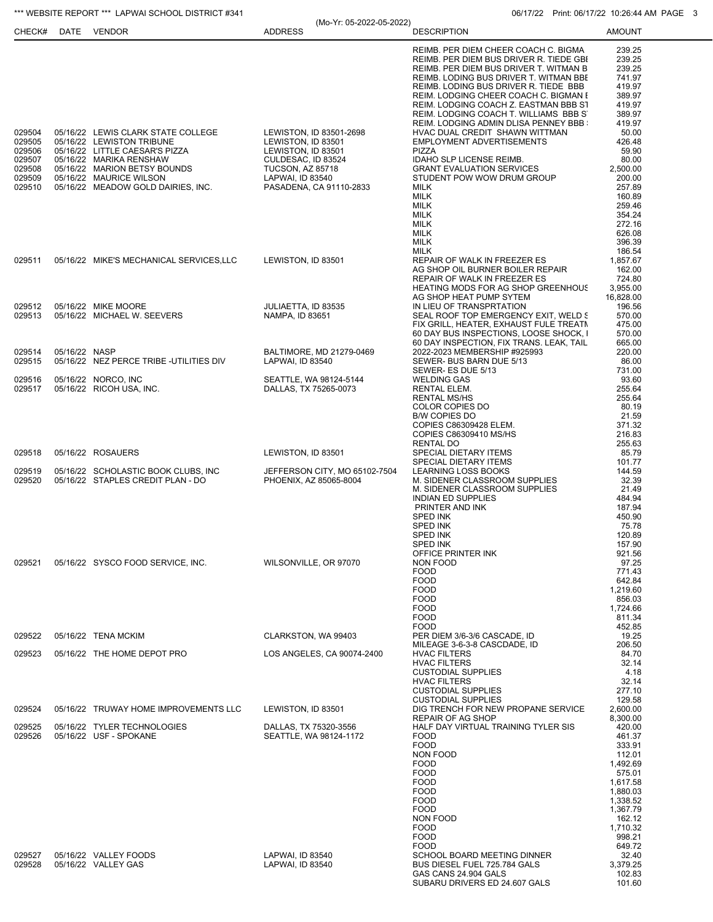|                                                                    |               |                                                                                                                                                                                                                               | (Mo-Yr: 05-2022-05-2022)                                                                                                                                            |                                                                                                                                                                                                                                                                                                                                                                                                                                                                                                                                                                             | 1.11111.00711122.1022177111111                                                                                                                              |
|--------------------------------------------------------------------|---------------|-------------------------------------------------------------------------------------------------------------------------------------------------------------------------------------------------------------------------------|---------------------------------------------------------------------------------------------------------------------------------------------------------------------|-----------------------------------------------------------------------------------------------------------------------------------------------------------------------------------------------------------------------------------------------------------------------------------------------------------------------------------------------------------------------------------------------------------------------------------------------------------------------------------------------------------------------------------------------------------------------------|-------------------------------------------------------------------------------------------------------------------------------------------------------------|
| CHECK#                                                             | <b>DATE</b>   | VENDOR                                                                                                                                                                                                                        | <b>ADDRESS</b>                                                                                                                                                      | <b>DESCRIPTION</b>                                                                                                                                                                                                                                                                                                                                                                                                                                                                                                                                                          | <b>AMOUNT</b>                                                                                                                                               |
| 029504<br>029505<br>029506<br>029507<br>029508<br>029509<br>029510 |               | 05/16/22 LEWIS CLARK STATE COLLEGE<br>05/16/22 LEWISTON TRIBUNE<br>05/16/22 LITTLE CAESAR'S PIZZA<br>05/16/22 MARIKA RENSHAW<br>05/16/22 MARION BETSY BOUNDS<br>05/16/22 MAURICE WILSON<br>05/16/22 MEADOW GOLD DAIRIES, INC. | LEWISTON, ID 83501-2698<br>LEWISTON, ID 83501<br>LEWISTON, ID 83501<br>CULDESAC, ID 83524<br><b>TUCSON, AZ 85718</b><br>LAPWAI, ID 83540<br>PASADENA, CA 91110-2833 | REIMB. PER DIEM CHEER COACH C. BIGMA<br>REIMB. PER DIEM BUS DRIVER R. TIEDE GBI<br>REIMB. PER DIEM BUS DRIVER T. WITMAN B<br>REIMB. LODING BUS DRIVER T. WITMAN BBE<br>REIMB. LODING BUS DRIVER R. TIEDE BBB<br>REIM. LODGING CHEER COACH C. BIGMAN I<br>REIM. LODGING COACH Z. EASTMAN BBB ST<br>REIM. LODGING COACH T. WILLIAMS BBB S<br>REIM. LODGING ADMIN DLISA PENNEY BBB<br>HVAC DUAL CREDIT SHAWN WITTMAN<br>EMPLOYMENT ADVERTISEMENTS<br><b>PIZZA</b><br>IDAHO SLP LICENSE REIMB.<br><b>GRANT EVALUATION SERVICES</b><br>STUDENT POW WOW DRUM GROUP<br><b>MILK</b> | 239.25<br>239.25<br>239.25<br>741.97<br>419.97<br>389.97<br>419.97<br>389.97<br>419.97<br>50.00<br>426.48<br>59.90<br>80.00<br>2,500.00<br>200.00<br>257.89 |
|                                                                    |               |                                                                                                                                                                                                                               |                                                                                                                                                                     | MILK<br>MILK<br>MILK<br><b>MILK</b><br><b>MILK</b><br>MILK<br>MILK                                                                                                                                                                                                                                                                                                                                                                                                                                                                                                          | 160.89<br>259.46<br>354.24<br>272.16<br>626.08<br>396.39<br>186.54                                                                                          |
| 029511                                                             |               | 05/16/22 MIKE'S MECHANICAL SERVICES, LLC                                                                                                                                                                                      | LEWISTON, ID 83501                                                                                                                                                  | REPAIR OF WALK IN FREEZER ES<br>AG SHOP OIL BURNER BOILER REPAIR<br>REPAIR OF WALK IN FREEZER ES<br><b>HEATING MODS FOR AG SHOP GREENHOUS</b><br>AG SHOP HEAT PUMP SYTEM                                                                                                                                                                                                                                                                                                                                                                                                    | 1,857.67<br>162.00<br>724.80<br>3,955.00<br>16,828.00                                                                                                       |
| 029512<br>029513                                                   |               | 05/16/22 MIKE MOORE<br>05/16/22 MICHAEL W. SEEVERS                                                                                                                                                                            | JULIAETTA, ID 83535<br>NAMPA, ID 83651                                                                                                                              | IN LIEU OF TRANSPRTATION<br>SEAL ROOF TOP EMERGENCY EXIT, WELD &<br>FIX GRILL, HEATER, EXHAUST FULE TREATN<br>60 DAY BUS INSPECTIONS, LOOSE SHOCK, I<br>60 DAY INSPECTION, FIX TRANS. LEAK, TAIL                                                                                                                                                                                                                                                                                                                                                                            | 196.56<br>570.00<br>475.00<br>570.00<br>665.00                                                                                                              |
| 029514<br>029515                                                   | 05/16/22 NASP | 05/16/22 NEZ PERCE TRIBE -UTILITIES DIV                                                                                                                                                                                       | BALTIMORE, MD 21279-0469<br>LAPWAI, ID 83540                                                                                                                        | 2022-2023 MEMBERSHIP #925993<br>SEWER- BUS BARN DUE 5/13<br>SEWER- ES DUE 5/13                                                                                                                                                                                                                                                                                                                                                                                                                                                                                              | 220.00<br>86.00<br>731.00                                                                                                                                   |
| 029516<br>029517                                                   |               | 05/16/22 NORCO, INC<br>05/16/22 RICOH USA, INC.                                                                                                                                                                               | SEATTLE, WA 98124-5144<br>DALLAS, TX 75265-0073                                                                                                                     | <b>WELDING GAS</b><br>RENTAL ELEM.<br><b>RENTAL MS/HS</b><br>COLOR COPIES DO<br><b>B/W COPIES DO</b><br>COPIES C86309428 ELEM.<br>COPIES C86309410 MS/HS<br>RENTAL DO                                                                                                                                                                                                                                                                                                                                                                                                       | 93.60<br>255.64<br>255.64<br>80.19<br>21.59<br>371.32<br>216.83<br>255.63                                                                                   |
| 029518                                                             |               | 05/16/22 ROSAUERS                                                                                                                                                                                                             | LEWISTON, ID 83501                                                                                                                                                  | SPECIAL DIETARY ITEMS<br>SPECIAL DIETARY ITEMS                                                                                                                                                                                                                                                                                                                                                                                                                                                                                                                              | 85.79<br>101.77                                                                                                                                             |
| 029519<br>029520                                                   |               | 05/16/22 SCHOLASTIC BOOK CLUBS, INC<br>05/16/22 STAPLES CREDIT PLAN - DO                                                                                                                                                      | JEFFERSON CITY, MO 65102-7504<br>PHOENIX, AZ 85065-8004                                                                                                             | LEARNING LOSS BOOKS<br>M. SIDENER CLASSROOM SUPPLIES<br>M. SIDENER CLASSROOM SUPPLIES<br><b>INDIAN ED SUPPLIES</b><br>PRINTER AND INK<br><b>SPED INK</b><br><b>SPED INK</b><br>SPED INK<br><b>SPED INK</b><br>OFFICE PRINTER INK                                                                                                                                                                                                                                                                                                                                            | 144.59<br>32.39<br>21.49<br>484.94<br>187.94<br>450.90<br>75.78<br>120.89<br>157.90<br>921.56                                                               |
| 029521                                                             |               | 05/16/22 SYSCO FOOD SERVICE, INC.                                                                                                                                                                                             | WILSONVILLE, OR 97070                                                                                                                                               | NON FOOD<br><b>FOOD</b><br><b>FOOD</b><br><b>FOOD</b><br><b>FOOD</b><br><b>FOOD</b><br><b>FOOD</b><br><b>FOOD</b>                                                                                                                                                                                                                                                                                                                                                                                                                                                           | 97.25<br>771.43<br>642.84<br>1,219.60<br>856.03<br>1,724.66<br>811.34<br>452.85                                                                             |
| 029522                                                             |               | 05/16/22 TENA MCKIM                                                                                                                                                                                                           | CLARKSTON, WA 99403                                                                                                                                                 | PER DIEM 3/6-3/6 CASCADE, ID<br>MILEAGE 3-6-3-8 CASCDADE, ID                                                                                                                                                                                                                                                                                                                                                                                                                                                                                                                | 19.25<br>206.50                                                                                                                                             |
| 029523                                                             |               | 05/16/22 THE HOME DEPOT PRO                                                                                                                                                                                                   | LOS ANGELES, CA 90074-2400                                                                                                                                          | <b>HVAC FILTERS</b><br><b>HVAC FILTERS</b><br><b>CUSTODIAL SUPPLIES</b><br><b>HVAC FILTERS</b><br><b>CUSTODIAL SUPPLIES</b><br><b>CUSTODIAL SUPPLIES</b>                                                                                                                                                                                                                                                                                                                                                                                                                    | 84.70<br>32.14<br>4.18<br>32.14<br>277.10<br>129.58                                                                                                         |
| 029524                                                             |               | 05/16/22 TRUWAY HOME IMPROVEMENTS LLC                                                                                                                                                                                         | LEWISTON, ID 83501                                                                                                                                                  | DIG TRENCH FOR NEW PROPANE SERVICE<br><b>REPAIR OF AG SHOP</b>                                                                                                                                                                                                                                                                                                                                                                                                                                                                                                              | 2,600.00<br>8,300.00                                                                                                                                        |
| 029525<br>029526                                                   |               | 05/16/22 TYLER TECHNOLOGIES<br>05/16/22 USF - SPOKANE                                                                                                                                                                         | DALLAS, TX 75320-3556<br>SEATTLE, WA 98124-1172                                                                                                                     | HALF DAY VIRTUAL TRAINING TYLER SIS<br><b>FOOD</b><br><b>FOOD</b><br><b>NON FOOD</b><br><b>FOOD</b><br><b>FOOD</b><br><b>FOOD</b><br><b>FOOD</b><br><b>FOOD</b><br><b>FOOD</b><br>NON FOOD<br><b>FOOD</b><br><b>FOOD</b><br><b>FOOD</b>                                                                                                                                                                                                                                                                                                                                     | 420.00<br>461.37<br>333.91<br>112.01<br>1,492.69<br>575.01<br>1,617.58<br>1,880.03<br>1,338.52<br>1,367.79<br>162.12<br>1,710.32<br>998.21<br>649.72        |
| 029527<br>029528                                                   |               | 05/16/22 VALLEY FOODS<br>05/16/22 VALLEY GAS                                                                                                                                                                                  | LAPWAI, ID 83540<br>LAPWAI, ID 83540                                                                                                                                | SCHOOL BOARD MEETING DINNER<br>BUS DIESEL FUEL 725.784 GALS<br>GAS CANS 24.904 GALS<br>SUBARU DRIVERS ED 24.607 GALS                                                                                                                                                                                                                                                                                                                                                                                                                                                        | 32.40<br>3,379.25<br>102.83<br>101.60                                                                                                                       |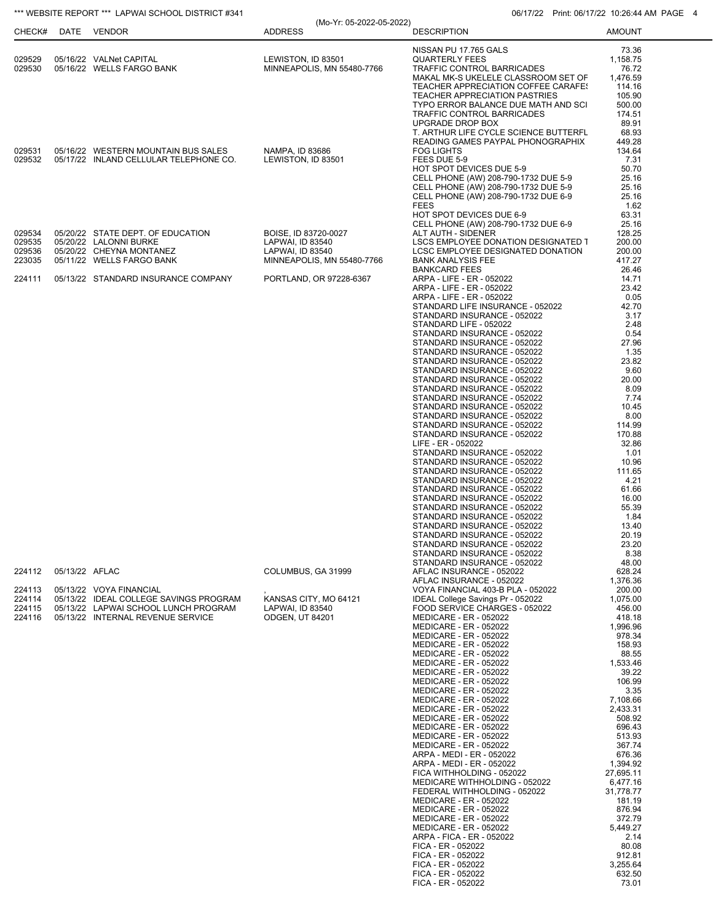| CHECK#                               |                | DATE VENDOR                                                                                                                                    | (Mo-Yr: 05-2022-05-2022)<br><b>ADDRESS</b>                                                 | <b>DESCRIPTION</b>                                                                                                                                                                                                                                                                                                                                                                                                                                                                                                                                                                                                                                                                                                                                                                                                                                                                                                                                                                                                                                                   | 1.11111.~00711122.~103203777.0011<br><b>AMOUNT</b>                                                                                                                                                                                                                                                                                                                 |
|--------------------------------------|----------------|------------------------------------------------------------------------------------------------------------------------------------------------|--------------------------------------------------------------------------------------------|----------------------------------------------------------------------------------------------------------------------------------------------------------------------------------------------------------------------------------------------------------------------------------------------------------------------------------------------------------------------------------------------------------------------------------------------------------------------------------------------------------------------------------------------------------------------------------------------------------------------------------------------------------------------------------------------------------------------------------------------------------------------------------------------------------------------------------------------------------------------------------------------------------------------------------------------------------------------------------------------------------------------------------------------------------------------|--------------------------------------------------------------------------------------------------------------------------------------------------------------------------------------------------------------------------------------------------------------------------------------------------------------------------------------------------------------------|
| 029529<br>029530                     |                | 05/16/22 VALNet CAPITAL<br>05/16/22 WELLS FARGO BANK                                                                                           | LEWISTON, ID 83501<br>MINNEAPOLIS, MN 55480-7766                                           | NISSAN PU 17.765 GALS<br><b>QUARTERLY FEES</b><br>TRAFFIC CONTROL BARRICADES<br>MAKAL MK-S UKELELE CLASSROOM SET OF<br>TEACHER APPRECIATION COFFEE CARAFES<br>TEACHER APPRECIATION PASTRIES                                                                                                                                                                                                                                                                                                                                                                                                                                                                                                                                                                                                                                                                                                                                                                                                                                                                          | 73.36<br>1,158.75<br>76.72<br>1,476.59<br>114.16<br>105.90                                                                                                                                                                                                                                                                                                         |
| 029531                               |                | 05/16/22 WESTERN MOUNTAIN BUS SALES                                                                                                            | NAMPA, ID 83686                                                                            | TYPO ERROR BALANCE DUE MATH AND SCI<br>TRAFFIC CONTROL BARRICADES<br>UPGRADE DROP BOX<br>T. ARTHUR LIFE CYCLE SCIENCE BUTTERFL<br>READING GAMES PAYPAL PHONOGRAPHIX<br><b>FOG LIGHTS</b>                                                                                                                                                                                                                                                                                                                                                                                                                                                                                                                                                                                                                                                                                                                                                                                                                                                                             | 500.00<br>174.51<br>89.91<br>68.93<br>449.28<br>134.64                                                                                                                                                                                                                                                                                                             |
| 029532                               |                | 05/17/22 INLAND CELLULAR TELEPHONE CO.                                                                                                         | LEWISTON, ID 83501                                                                         | FEES DUE 5-9<br>HOT SPOT DEVICES DUE 5-9<br>CELL PHONE (AW) 208-790-1732 DUE 5-9<br>CELL PHONE (AW) 208-790-1732 DUE 5-9<br>CELL PHONE (AW) 208-790-1732 DUE 6-9<br><b>FEES</b><br>HOT SPOT DEVICES DUE 6-9<br>CELL PHONE (AW) 208-790-1732 DUE 6-9                                                                                                                                                                                                                                                                                                                                                                                                                                                                                                                                                                                                                                                                                                                                                                                                                  | 7.31<br>50.70<br>25.16<br>25.16<br>25.16<br>1.62<br>63.31<br>25.16                                                                                                                                                                                                                                                                                                 |
| 029534<br>029535<br>029536<br>223035 |                | 05/20/22 STATE DEPT. OF EDUCATION<br>05/20/22 LALONNI BURKE<br>05/20/22 CHEYNA MONTANEZ<br>05/11/22 WELLS FARGO BANK                           | BOISE, ID 83720-0027<br>LAPWAI, ID 83540<br>LAPWAI, ID 83540<br>MINNEAPOLIS, MN 55480-7766 | ALT AUTH - SIDENER<br>LSCS EMPLOYEE DONATION DESIGNATED 1<br>LCSC EMPLOYEE DESIGNATED DONATION<br><b>BANK ANALYSIS FEE</b><br><b>BANKCARD FEES</b>                                                                                                                                                                                                                                                                                                                                                                                                                                                                                                                                                                                                                                                                                                                                                                                                                                                                                                                   | 128.25<br>200.00<br>200.00<br>417.27<br>26.46                                                                                                                                                                                                                                                                                                                      |
| 224111                               |                | 05/13/22 STANDARD INSURANCE COMPANY                                                                                                            | PORTLAND, OR 97228-6367                                                                    | ARPA - LIFE - ER - 052022<br>ARPA - LIFE - ER - 052022<br>ARPA - LIFE - ER - 052022<br>STANDARD LIFE INSURANCE - 052022<br>STANDARD INSURANCE - 052022<br>STANDARD LIFE - 052022<br>STANDARD INSURANCE - 052022<br>STANDARD INSURANCE - 052022<br>STANDARD INSURANCE - 052022<br>STANDARD INSURANCE - 052022<br>STANDARD INSURANCE - 052022<br>STANDARD INSURANCE - 052022<br>STANDARD INSURANCE - 052022<br>STANDARD INSURANCE - 052022<br>STANDARD INSURANCE - 052022<br>STANDARD INSURANCE - 052022<br>STANDARD INSURANCE - 052022<br>STANDARD INSURANCE - 052022<br>LIFE - ER - 052022<br>STANDARD INSURANCE - 052022<br>STANDARD INSURANCE - 052022<br>STANDARD INSURANCE - 052022<br>STANDARD INSURANCE - 052022<br>STANDARD INSURANCE - 052022<br>STANDARD INSURANCE - 052022<br>STANDARD INSURANCE - 052022<br>STANDARD INSURANCE - 052022<br>STANDARD INSURANCE - 052022<br>STANDARD INSURANCE - 052022<br>STANDARD INSURANCE - 052022<br>STANDARD INSURANCE - 052022                                                                                       | 14.71<br>23.42<br>0.05<br>42.70<br>3.17<br>2.48<br>0.54<br>27.96<br>1.35<br>23.82<br>9.60<br>20.00<br>8.09<br>7.74<br>10.45<br>8.00<br>114.99<br>170.88<br>32.86<br>1.01<br>10.96<br>111.65<br>4.21<br>61.66<br>16.00<br>55.39<br>1.84<br>13.40<br>20.19<br>23.20<br>8.38                                                                                          |
| 224112                               | 05/13/22 AFLAC |                                                                                                                                                | COLUMBUS, GA 31999                                                                         | STANDARD INSURANCE - 052022<br>AFLAC INSURANCE - 052022                                                                                                                                                                                                                                                                                                                                                                                                                                                                                                                                                                                                                                                                                                                                                                                                                                                                                                                                                                                                              | 48.00<br>628.24                                                                                                                                                                                                                                                                                                                                                    |
| 224113<br>224114<br>224115<br>224116 |                | 05/13/22 VOYA FINANCIAL<br>05/13/22 IDEAL COLLEGE SAVINGS PROGRAM<br>05/13/22 LAPWAI SCHOOL LUNCH PROGRAM<br>05/13/22 INTERNAL REVENUE SERVICE | KANSAS CITY, MO 64121<br>LAPWAI, ID 83540<br>ODGEN, UT 84201                               | AFLAC INSURANCE - 052022<br>VOYA FINANCIAL 403-B PLA - 052022<br>IDEAL College Savings Pr - 052022<br>FOOD SERVICE CHARGES - 052022<br><b>MEDICARE - ER - 052022</b><br><b>MEDICARE - ER - 052022</b><br><b>MEDICARE - ER - 052022</b><br><b>MEDICARE - ER - 052022</b><br><b>MEDICARE - ER - 052022</b><br><b>MEDICARE - ER - 052022</b><br><b>MEDICARE - ER - 052022</b><br><b>MEDICARE - ER - 052022</b><br>MEDICARE - ER - 052022<br><b>MEDICARE - ER - 052022</b><br><b>MEDICARE - ER - 052022</b><br><b>MEDICARE - ER - 052022</b><br><b>MEDICARE - ER - 052022</b><br><b>MEDICARE - ER - 052022</b><br>MEDICARE - ER - 052022<br>ARPA - MEDI - ER - 052022<br>ARPA - MEDI - ER - 052022<br>FICA WITHHOLDING - 052022<br>MEDICARE WITHHOLDING - 052022<br>FEDERAL WITHHOLDING - 052022<br><b>MEDICARE - ER - 052022</b><br><b>MEDICARE - ER - 052022</b><br><b>MEDICARE - ER - 052022</b><br>MEDICARE - ER - 052022<br>ARPA - FICA - ER - 052022<br>FICA - ER - 052022<br>FICA - ER - 052022<br>FICA - ER - 052022<br>FICA - ER - 052022<br>FICA - ER - 052022 | 1,376.36<br>200.00<br>1,075.00<br>456.00<br>418.18<br>1,996.96<br>978.34<br>158.93<br>88.55<br>1,533.46<br>39.22<br>106.99<br>3.35<br>7,108.66<br>2,433.31<br>508.92<br>696.43<br>513.93<br>367.74<br>676.36<br>1,394.92<br>27,695.11<br>6,477.16<br>31,778.77<br>181.19<br>876.94<br>372.79<br>5,449.27<br>2.14<br>80.08<br>912.81<br>3,255.64<br>632.50<br>73.01 |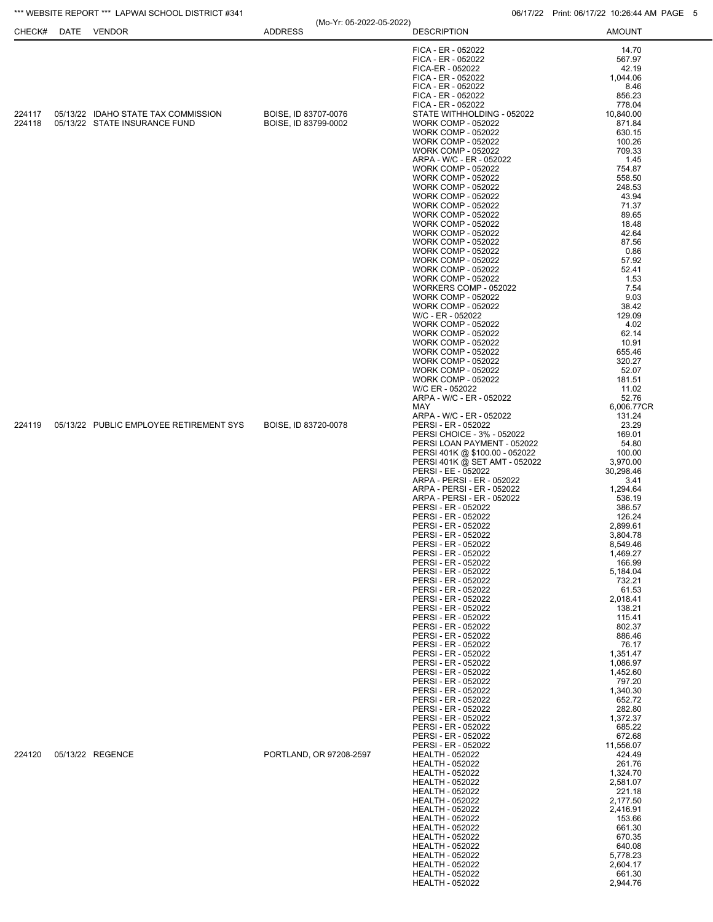| CHECK#           | DATE | <b>VENDOR</b>                                                        | <b>ADDRESS</b>                               | <b>DESCRIPTION</b>                                                                                                                                                                                                                                                                                                                                                                                                                                                                                                                                                                                                                                                                                                                                                                                                                                                                                          | <b>AMOUNT</b>                                                                                                                                                                                                                                                                                                                                                                                  |
|------------------|------|----------------------------------------------------------------------|----------------------------------------------|-------------------------------------------------------------------------------------------------------------------------------------------------------------------------------------------------------------------------------------------------------------------------------------------------------------------------------------------------------------------------------------------------------------------------------------------------------------------------------------------------------------------------------------------------------------------------------------------------------------------------------------------------------------------------------------------------------------------------------------------------------------------------------------------------------------------------------------------------------------------------------------------------------------|------------------------------------------------------------------------------------------------------------------------------------------------------------------------------------------------------------------------------------------------------------------------------------------------------------------------------------------------------------------------------------------------|
|                  |      |                                                                      |                                              | FICA - ER - 052022<br>FICA - ER - 052022<br>FICA-ER - 052022<br>FICA - ER - 052022<br>FICA - ER - 052022<br>FICA - ER - 052022<br>FICA - ER - 052022                                                                                                                                                                                                                                                                                                                                                                                                                                                                                                                                                                                                                                                                                                                                                        | 14.70<br>567.97<br>42.19<br>1,044.06<br>8.46<br>856.23<br>778.04                                                                                                                                                                                                                                                                                                                               |
| 224117<br>224118 |      | 05/13/22 IDAHO STATE TAX COMMISSION<br>05/13/22 STATE INSURANCE FUND | BOISE, ID 83707-0076<br>BOISE, ID 83799-0002 | STATE WITHHOLDING - 052022<br><b>WORK COMP - 052022</b><br><b>WORK COMP - 052022</b><br><b>WORK COMP - 052022</b><br><b>WORK COMP - 052022</b><br>ARPA - W/C - ER - 052022<br><b>WORK COMP - 052022</b><br><b>WORK COMP - 052022</b><br><b>WORK COMP - 052022</b><br><b>WORK COMP - 052022</b><br><b>WORK COMP - 052022</b><br><b>WORK COMP - 052022</b><br><b>WORK COMP - 052022</b><br><b>WORK COMP - 052022</b><br><b>WORK COMP - 052022</b><br><b>WORK COMP - 052022</b><br><b>WORK COMP - 052022</b><br><b>WORK COMP - 052022</b><br><b>WORK COMP - 052022</b><br>WORKERS COMP - 052022<br><b>WORK COMP - 052022</b><br><b>WORK COMP - 052022</b><br>W/C - ER - 052022<br><b>WORK COMP - 052022</b><br><b>WORK COMP - 052022</b><br><b>WORK COMP - 052022</b><br><b>WORK COMP - 052022</b><br><b>WORK COMP - 052022</b><br><b>WORK COMP - 052022</b><br><b>WORK COMP - 052022</b><br>W/C ER - 052022   | 10,840.00<br>871.84<br>630.15<br>100.26<br>709.33<br>1.45<br>754.87<br>558.50<br>248.53<br>43.94<br>71.37<br>89.65<br>18.48<br>42.64<br>87.56<br>0.86<br>57.92<br>52.41<br>1.53<br>7.54<br>9.03<br>38.42<br>129.09<br>4.02<br>62.14<br>10.91<br>655.46<br>320.27<br>52.07<br>181.51<br>11.02                                                                                                   |
| 224119           |      | 05/13/22 PUBLIC EMPLOYEE RETIREMENT SYS                              | BOISE, ID 83720-0078                         | ARPA - W/C - ER - 052022<br>MAY<br>ARPA - W/C - ER - 052022<br>PERSI - ER - 052022<br>PERSI CHOICE - 3% - 052022<br>PERSI LOAN PAYMENT - 052022<br>PERSI 401K @ \$100.00 - 052022<br>PERSI 401K @ SET AMT - 052022<br>PERSI - EE - 052022<br>ARPA - PERSI - ER - 052022<br>ARPA - PERSI - ER - 052022<br>ARPA - PERSI - ER - 052022<br>PERSI - ER - 052022<br>PERSI - ER - 052022<br>PERSI - ER - 052022<br>PERSI - ER - 052022<br>PERSI - ER - 052022<br>PERSI - ER - 052022<br>PERSI - ER - 052022<br>PERSI - ER - 052022<br>PERSI - ER - 052022<br>PERSI - ER - 052022<br>PERSI - ER - 052022<br>PERSI - ER - 052022<br>PERSI - ER - 052022<br>PERSI - ER - 052022<br>PERSI - ER - 052022<br>PERSI - ER - 052022<br>PERSI - ER - 052022<br>PERSI - ER - 052022<br>PERSI - ER - 052022<br>PERSI - ER - 052022<br>PERSI - ER - 052022<br>PERSI - ER - 052022<br>PERSI - ER - 052022<br>PERSI - ER - 052022 | 52.76<br>6,006.77CR<br>131.24<br>23.29<br>169.01<br>54.80<br>100.00<br>3,970.00<br>30,298.46<br>3.41<br>1,294.64<br>536.19<br>386.57<br>126.24<br>2,899.61<br>3,804.78<br>8,549.46<br>1,469.27<br>166.99<br>5,184.04<br>732.21<br>61.53<br>2,018.41<br>138.21<br>115.41<br>802.37<br>886.46<br>76.17<br>1,351.47<br>1,086.97<br>1,452.60<br>797.20<br>1,340.30<br>652.72<br>282.80<br>1,372.37 |
| 224120           |      | 05/13/22 REGENCE                                                     | PORTLAND, OR 97208-2597                      | PERSI - ER - 052022<br>PERSI - ER - 052022<br>PERSI - ER - 052022<br><b>HEALTH - 052022</b><br><b>HEALTH - 052022</b><br><b>HEALTH - 052022</b><br><b>HEALTH - 052022</b><br><b>HEALTH - 052022</b><br><b>HEALTH - 052022</b><br><b>HEALTH - 052022</b><br><b>HEALTH - 052022</b><br><b>HEALTH - 052022</b><br><b>HEALTH - 052022</b><br><b>HEALTH - 052022</b><br><b>HEALTH - 052022</b><br><b>HEALTH - 052022</b><br><b>HEALTH - 052022</b><br><b>HEALTH - 052022</b>                                                                                                                                                                                                                                                                                                                                                                                                                                     | 685.22<br>672.68<br>11,556.07<br>424.49<br>261.76<br>1,324.70<br>2,581.07<br>221.18<br>2,177.50<br>2,416.91<br>153.66<br>661.30<br>670.35<br>640.08<br>5,778.23<br>2,604.17<br>661.30<br>2,944.76                                                                                                                                                                                              |

\*\*\* WEBSITE REPORT \*\*\* LAPWAI SCHOOL DISTRICT #341 06/17/22 Print: 06/17/22 10:26:44 AM PAGE 5 (Mo-Yr: 05-2022-05-2022)